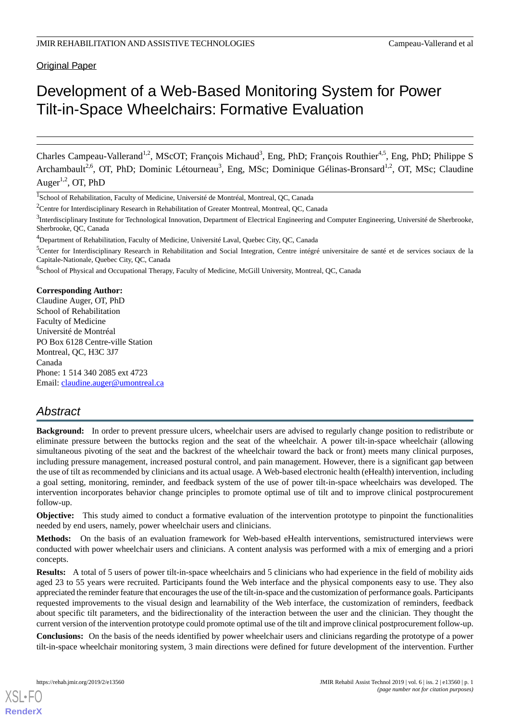**Original Paper** 

# Development of a Web-Based Monitoring System for Power Tilt-in-Space Wheelchairs: Formative Evaluation

Charles Campeau-Vallerand<sup>1,2</sup>, MScOT; François Michaud<sup>3</sup>, Eng, PhD; François Routhier<sup>4,5</sup>, Eng, PhD; Philippe S Archambault<sup>2,6</sup>, OT, PhD; Dominic Létourneau<sup>3</sup>, Eng, MSc; Dominique Gélinas-Bronsard<sup>1,2</sup>, OT, MSc; Claudine Auger<sup>1,2</sup>, OT, PhD

<sup>1</sup>School of Rehabilitation, Faculty of Medicine, Université de Montréal, Montreal, QC, Canada

<sup>5</sup>Center for Interdisciplinary Research in Rehabilitation and Social Integration, Centre intégré universitaire de santé et de services sociaux de la Capitale-Nationale, Quebec City, QC, Canada

<sup>6</sup>School of Physical and Occupational Therapy, Faculty of Medicine, McGill University, Montreal, QC, Canada

**Corresponding Author:**

Claudine Auger, OT, PhD School of Rehabilitation Faculty of Medicine Université de Montréal PO Box 6128 Centre-ville Station Montreal, QC, H3C 3J7 Canada Phone: 1 514 340 2085 ext 4723 Email: [claudine.auger@umontreal.ca](mailto:claudine.auger@umontreal.ca)

# *Abstract*

**Background:** In order to prevent pressure ulcers, wheelchair users are advised to regularly change position to redistribute or eliminate pressure between the buttocks region and the seat of the wheelchair. A power tilt-in-space wheelchair (allowing simultaneous pivoting of the seat and the backrest of the wheelchair toward the back or front) meets many clinical purposes, including pressure management, increased postural control, and pain management. However, there is a significant gap between the use of tilt as recommended by clinicians and its actual usage. A Web-based electronic health (eHealth) intervention, including a goal setting, monitoring, reminder, and feedback system of the use of power tilt-in-space wheelchairs was developed. The intervention incorporates behavior change principles to promote optimal use of tilt and to improve clinical postprocurement follow-up.

**Objective:** This study aimed to conduct a formative evaluation of the intervention prototype to pinpoint the functionalities needed by end users, namely, power wheelchair users and clinicians.

**Methods:** On the basis of an evaluation framework for Web-based eHealth interventions, semistructured interviews were conducted with power wheelchair users and clinicians. A content analysis was performed with a mix of emerging and a priori concepts.

**Results:** A total of 5 users of power tilt-in-space wheelchairs and 5 clinicians who had experience in the field of mobility aids aged 23 to 55 years were recruited. Participants found the Web interface and the physical components easy to use. They also appreciated the reminder feature that encourages the use of the tilt-in-space and the customization of performance goals. Participants requested improvements to the visual design and learnability of the Web interface, the customization of reminders, feedback about specific tilt parameters, and the bidirectionality of the interaction between the user and the clinician. They thought the current version of the intervention prototype could promote optimal use of the tilt and improve clinical postprocurement follow-up.

**Conclusions:** On the basis of the needs identified by power wheelchair users and clinicians regarding the prototype of a power tilt-in-space wheelchair monitoring system, 3 main directions were defined for future development of the intervention. Further

[XSL](http://www.w3.org/Style/XSL)•FO **[RenderX](http://www.renderx.com/)**

<sup>&</sup>lt;sup>2</sup>Centre for Interdisciplinary Research in Rehabilitation of Greater Montreal, Montreal, QC, Canada

<sup>&</sup>lt;sup>3</sup>Interdisciplinary Institute for Technological Innovation, Department of Electrical Engineering and Computer Engineering, Université de Sherbrooke, Sherbrooke, QC, Canada

<sup>&</sup>lt;sup>4</sup>Department of Rehabilitation, Faculty of Medicine, Université Laval, Quebec City, QC, Canada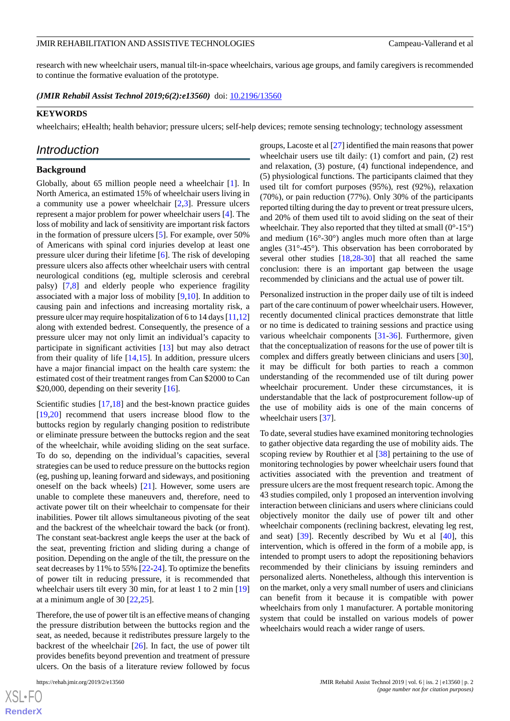research with new wheelchair users, manual tilt-in-space wheelchairs, various age groups, and family caregivers is recommended to continue the formative evaluation of the prototype.

(JMIR Rehabil Assist Technol 2019;6(2):e13560) doi: [10.2196/13560](http://dx.doi.org/10.2196/13560)

#### **KEYWORDS**

wheelchairs; eHealth; health behavior; pressure ulcers; self-help devices; remote sensing technology; technology assessment

### *Introduction*

#### **Background**

Globally, about 65 million people need a wheelchair [[1\]](#page-9-0). In North America, an estimated 15% of wheelchair users living in a community use a power wheelchair [\[2](#page-9-1),[3\]](#page-9-2). Pressure ulcers represent a major problem for power wheelchair users [[4\]](#page-9-3). The loss of mobility and lack of sensitivity are important risk factors in the formation of pressure ulcers [\[5](#page-9-4)]. For example, over 50% of Americans with spinal cord injuries develop at least one pressure ulcer during their lifetime [[6\]](#page-10-0). The risk of developing pressure ulcers also affects other wheelchair users with central neurological conditions (eg, multiple sclerosis and cerebral palsy) [[7,](#page-10-1)[8](#page-10-2)] and elderly people who experience fragility associated with a major loss of mobility [[9,](#page-10-3)[10](#page-10-4)]. In addition to causing pain and infections and increasing mortality risk, a pressure ulcer may require hospitalization of 6 to 14 days [\[11](#page-10-5),[12](#page-10-6)] along with extended bedrest. Consequently, the presence of a pressure ulcer may not only limit an individual's capacity to participate in significant activities [[13\]](#page-10-7) but may also detract from their quality of life  $[14,15]$  $[14,15]$  $[14,15]$ . In addition, pressure ulcers have a major financial impact on the health care system: the estimated cost of their treatment ranges from Can \$2000 to Can \$20,000, depending on their severity [[16\]](#page-10-10).

Scientific studies [\[17](#page-10-11),[18\]](#page-10-12) and the best-known practice guides [[19](#page-10-13)[,20](#page-10-14)] recommend that users increase blood flow to the buttocks region by regularly changing position to redistribute or eliminate pressure between the buttocks region and the seat of the wheelchair, while avoiding sliding on the seat surface. To do so, depending on the individual's capacities, several strategies can be used to reduce pressure on the buttocks region (eg, pushing up, leaning forward and sideways, and positioning oneself on the back wheels) [\[21](#page-10-15)]. However, some users are unable to complete these maneuvers and, therefore, need to activate power tilt on their wheelchair to compensate for their inabilities. Power tilt allows simultaneous pivoting of the seat and the backrest of the wheelchair toward the back (or front). The constant seat-backrest angle keeps the user at the back of the seat, preventing friction and sliding during a change of position. Depending on the angle of the tilt, the pressure on the seat decreases by 11% to 55% [[22-](#page-10-16)[24](#page-10-17)]. To optimize the benefits of power tilt in reducing pressure, it is recommended that wheelchair users tilt every 30 min, for at least 1 to 2 min [\[19](#page-10-13)] at a minimum angle of 30 [\[22](#page-10-16),[25\]](#page-10-18).

Therefore, the use of power tilt is an effective means of changing the pressure distribution between the buttocks region and the seat, as needed, because it redistributes pressure largely to the backrest of the wheelchair  $[26]$  $[26]$ . In fact, the use of power tilt provides benefits beyond prevention and treatment of pressure ulcers. On the basis of a literature review followed by focus

groups, Lacoste et al [\[27](#page-10-20)] identified the main reasons that power wheelchair users use tilt daily: (1) comfort and pain, (2) rest and relaxation, (3) posture, (4) functional independence, and (5) physiological functions. The participants claimed that they used tilt for comfort purposes (95%), rest (92%), relaxation (70%), or pain reduction (77%). Only 30% of the participants reported tilting during the day to prevent or treat pressure ulcers, and 20% of them used tilt to avoid sliding on the seat of their wheelchair. They also reported that they tilted at small  $(0^{\circ}$ -15°) and medium (16°-30°) angles much more often than at large angles (31°-45°). This observation has been corroborated by several other studies [[18](#page-10-12)[,28](#page-10-21)-[30\]](#page-10-22) that all reached the same conclusion: there is an important gap between the usage recommended by clinicians and the actual use of power tilt.

Personalized instruction in the proper daily use of tilt is indeed part of the care continuum of power wheelchair users. However, recently documented clinical practices demonstrate that little or no time is dedicated to training sessions and practice using various wheelchair components [[31](#page-11-0)[-36](#page-11-1)]. Furthermore, given that the conceptualization of reasons for the use of power tilt is complex and differs greatly between clinicians and users [[30\]](#page-10-22), it may be difficult for both parties to reach a common understanding of the recommended use of tilt during power wheelchair procurement. Under these circumstances, it is understandable that the lack of postprocurement follow-up of the use of mobility aids is one of the main concerns of wheelchair users [\[37](#page-11-2)].

To date, several studies have examined monitoring technologies to gather objective data regarding the use of mobility aids. The scoping review by Routhier et al [\[38](#page-11-3)] pertaining to the use of monitoring technologies by power wheelchair users found that activities associated with the prevention and treatment of pressure ulcers are the most frequent research topic. Among the 43 studies compiled, only 1 proposed an intervention involving interaction between clinicians and users where clinicians could objectively monitor the daily use of power tilt and other wheelchair components (reclining backrest, elevating leg rest, and seat) [\[39](#page-11-4)]. Recently described by Wu et al [\[40](#page-11-5)], this intervention, which is offered in the form of a mobile app, is intended to prompt users to adopt the repositioning behaviors recommended by their clinicians by issuing reminders and personalized alerts. Nonetheless, although this intervention is on the market, only a very small number of users and clinicians can benefit from it because it is compatible with power wheelchairs from only 1 manufacturer. A portable monitoring system that could be installed on various models of power wheelchairs would reach a wider range of users.

 $XS$ -FO **[RenderX](http://www.renderx.com/)**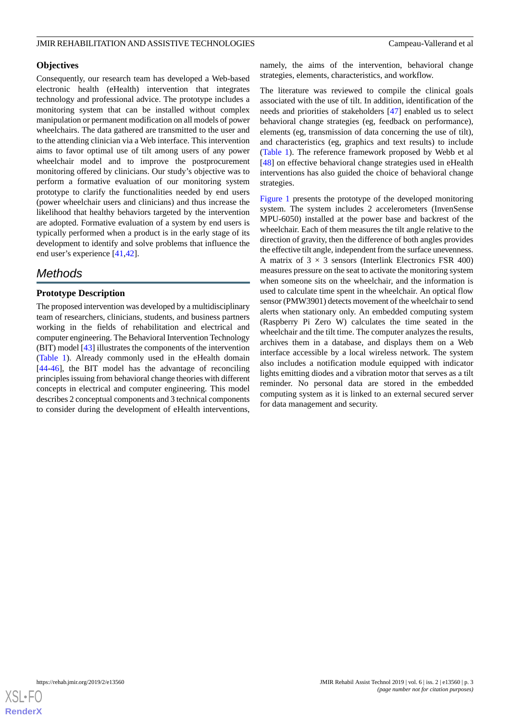#### **Objectives**

Consequently, our research team has developed a Web-based electronic health (eHealth) intervention that integrates technology and professional advice. The prototype includes a monitoring system that can be installed without complex manipulation or permanent modification on all models of power wheelchairs. The data gathered are transmitted to the user and to the attending clinician via a Web interface. This intervention aims to favor optimal use of tilt among users of any power wheelchair model and to improve the postprocurement monitoring offered by clinicians. Our study's objective was to perform a formative evaluation of our monitoring system prototype to clarify the functionalities needed by end users (power wheelchair users and clinicians) and thus increase the likelihood that healthy behaviors targeted by the intervention are adopted. Formative evaluation of a system by end users is typically performed when a product is in the early stage of its development to identify and solve problems that influence the end user's experience [\[41](#page-11-6),[42\]](#page-11-7).

# *Methods*

### **Prototype Description**

The proposed intervention was developed by a multidisciplinary team of researchers, clinicians, students, and business partners working in the fields of rehabilitation and electrical and computer engineering. The Behavioral Intervention Technology (BIT) model [[43\]](#page-11-8) illustrates the components of the intervention ([Table 1\)](#page-3-0). Already commonly used in the eHealth domain [[44](#page-11-9)[-46](#page-11-10)], the BIT model has the advantage of reconciling principles issuing from behavioral change theories with different concepts in electrical and computer engineering. This model describes 2 conceptual components and 3 technical components to consider during the development of eHealth interventions,

namely, the aims of the intervention, behavioral change strategies, elements, characteristics, and workflow.

The literature was reviewed to compile the clinical goals associated with the use of tilt. In addition, identification of the needs and priorities of stakeholders [\[47](#page-11-11)] enabled us to select behavioral change strategies (eg, feedback on performance), elements (eg, transmission of data concerning the use of tilt), and characteristics (eg, graphics and text results) to include ([Table 1\)](#page-3-0). The reference framework proposed by Webb et al [[48\]](#page-11-12) on effective behavioral change strategies used in eHealth interventions has also guided the choice of behavioral change strategies.

[Figure 1](#page-3-1) presents the prototype of the developed monitoring system. The system includes 2 accelerometers (InvenSense MPU-6050) installed at the power base and backrest of the wheelchair. Each of them measures the tilt angle relative to the direction of gravity, then the difference of both angles provides the effective tilt angle, independent from the surface unevenness. A matrix of  $3 \times 3$  sensors (Interlink Electronics FSR 400) measures pressure on the seat to activate the monitoring system when someone sits on the wheelchair, and the information is used to calculate time spent in the wheelchair. An optical flow sensor (PMW3901) detects movement of the wheelchair to send alerts when stationary only. An embedded computing system (Raspberry Pi Zero W) calculates the time seated in the wheelchair and the tilt time. The computer analyzes the results, archives them in a database, and displays them on a Web interface accessible by a local wireless network. The system also includes a notification module equipped with indicator lights emitting diodes and a vibration motor that serves as a tilt reminder. No personal data are stored in the embedded computing system as it is linked to an external secured server for data management and security.

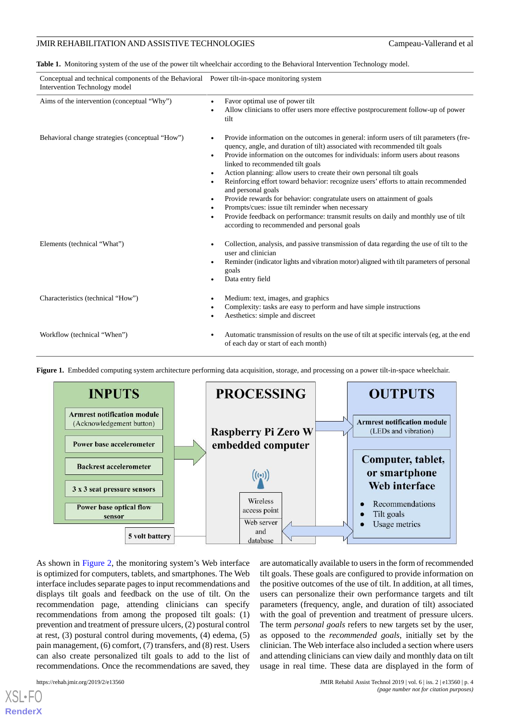<span id="page-3-0"></span>**Table 1.** Monitoring system of the use of the power tilt wheelchair according to the Behavioral Intervention Technology model.

| Conceptual and technical components of the Behavioral Power tilt-in-space monitoring system<br>Intervention Technology model |                                                                                                                                                                                                                                                                                                                                                                                                                                                                                                                                                                                                                                                                                                                                                                                            |  |  |
|------------------------------------------------------------------------------------------------------------------------------|--------------------------------------------------------------------------------------------------------------------------------------------------------------------------------------------------------------------------------------------------------------------------------------------------------------------------------------------------------------------------------------------------------------------------------------------------------------------------------------------------------------------------------------------------------------------------------------------------------------------------------------------------------------------------------------------------------------------------------------------------------------------------------------------|--|--|
| Aims of the intervention (conceptual "Why")                                                                                  | Favor optimal use of power tilt<br>Allow clinicians to offer users more effective postprocurement follow-up of power<br>tilt                                                                                                                                                                                                                                                                                                                                                                                                                                                                                                                                                                                                                                                               |  |  |
| Behavioral change strategies (conceptual "How")                                                                              | Provide information on the outcomes in general: inform users of tilt parameters (fre-<br>quency, angle, and duration of tilt) associated with recommended tilt goals<br>Provide information on the outcomes for individuals: inform users about reasons<br>linked to recommended tilt goals<br>Action planning: allow users to create their own personal tilt goals<br>$\bullet$<br>Reinforcing effort toward behavior: recognize users' efforts to attain recommended<br>and personal goals<br>Provide rewards for behavior: congratulate users on attainment of goals<br>$\bullet$<br>Prompts/cues: issue tilt reminder when necessary<br>$\bullet$<br>Provide feedback on performance: transmit results on daily and monthly use of tilt<br>according to recommended and personal goals |  |  |
| Elements (technical "What")                                                                                                  | Collection, analysis, and passive transmission of data regarding the use of tilt to the<br>user and clinician<br>Reminder (indicator lights and vibration motor) aligned with tilt parameters of personal<br>goals<br>Data entry field                                                                                                                                                                                                                                                                                                                                                                                                                                                                                                                                                     |  |  |
| Characteristics (technical "How")                                                                                            | Medium: text, images, and graphics<br>Complexity: tasks are easy to perform and have simple instructions<br>Aesthetics: simple and discreet                                                                                                                                                                                                                                                                                                                                                                                                                                                                                                                                                                                                                                                |  |  |
| Workflow (technical "When")                                                                                                  | Automatic transmission of results on the use of tilt at specific intervals (eg, at the end<br>of each day or start of each month)                                                                                                                                                                                                                                                                                                                                                                                                                                                                                                                                                                                                                                                          |  |  |



<span id="page-3-1"></span>**Figure 1.** Embedded computing system architecture performing data acquisition, storage, and processing on a power tilt-in-space wheelchair.

As shown in [Figure 2](#page-4-0), the monitoring system's Web interface is optimized for computers, tablets, and smartphones. The Web interface includes separate pages to input recommendations and displays tilt goals and feedback on the use of tilt. On the recommendation page, attending clinicians can specify recommendations from among the proposed tilt goals: (1) prevention and treatment of pressure ulcers, (2) postural control at rest, (3) postural control during movements, (4) edema, (5) pain management, (6) comfort, (7) transfers, and (8) rest. Users can also create personalized tilt goals to add to the list of recommendations. Once the recommendations are saved, they

[XSL](http://www.w3.org/Style/XSL)•FO **[RenderX](http://www.renderx.com/)**

tilt goals. These goals are configured to provide information on the positive outcomes of the use of tilt. In addition, at all times, users can personalize their own performance targets and tilt parameters (frequency, angle, and duration of tilt) associated with the goal of prevention and treatment of pressure ulcers. The term *personal goals* refers to new targets set by the user, as opposed to the *recommended goals*, initially set by the clinician. The Web interface also included a section where users and attending clinicians can view daily and monthly data on tilt usage in real time. These data are displayed in the form of

are automatically available to users in the form of recommended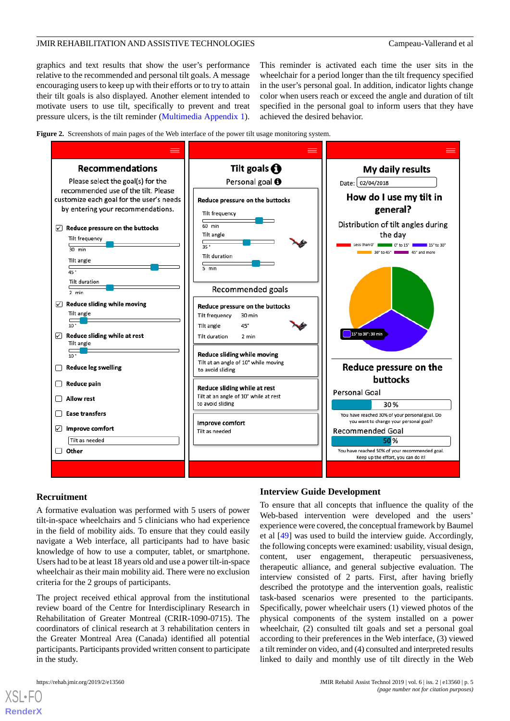graphics and text results that show the user's performance relative to the recommended and personal tilt goals. A message encouraging users to keep up with their efforts or to try to attain their tilt goals is also displayed. Another element intended to motivate users to use tilt, specifically to prevent and treat pressure ulcers, is the tilt reminder ([Multimedia Appendix 1\)](#page-9-5). This reminder is activated each time the user sits in the wheelchair for a period longer than the tilt frequency specified in the user's personal goal. In addition, indicator lights change color when users reach or exceed the angle and duration of tilt specified in the personal goal to inform users that they have achieved the desired behavior.

<span id="page-4-0"></span>**Figure 2.** Screenshots of main pages of the Web interface of the power tilt usage monitoring system.



#### **Recruitment**

A formative evaluation was performed with 5 users of power tilt-in-space wheelchairs and 5 clinicians who had experience in the field of mobility aids. To ensure that they could easily navigate a Web interface, all participants had to have basic knowledge of how to use a computer, tablet, or smartphone. Users had to be at least 18 years old and use a power tilt-in-space wheelchair as their main mobility aid. There were no exclusion criteria for the 2 groups of participants.

The project received ethical approval from the institutional review board of the Centre for Interdisciplinary Research in Rehabilitation of Greater Montreal (CRIR-1090-0715). The coordinators of clinical research at 3 rehabilitation centers in the Greater Montreal Area (Canada) identified all potential participants. Participants provided written consent to participate in the study.

[XSL](http://www.w3.org/Style/XSL)•FO **[RenderX](http://www.renderx.com/)**

#### **Interview Guide Development**

To ensure that all concepts that influence the quality of the Web-based intervention were developed and the users' experience were covered, the conceptual framework by Baumel et al [\[49](#page-11-13)] was used to build the interview guide. Accordingly, the following concepts were examined: usability, visual design, content, user engagement, therapeutic persuasiveness, therapeutic alliance, and general subjective evaluation. The interview consisted of 2 parts. First, after having briefly described the prototype and the intervention goals, realistic task-based scenarios were presented to the participants. Specifically, power wheelchair users (1) viewed photos of the physical components of the system installed on a power wheelchair, (2) consulted tilt goals and set a personal goal according to their preferences in the Web interface, (3) viewed a tilt reminder on video, and (4) consulted and interpreted results linked to daily and monthly use of tilt directly in the Web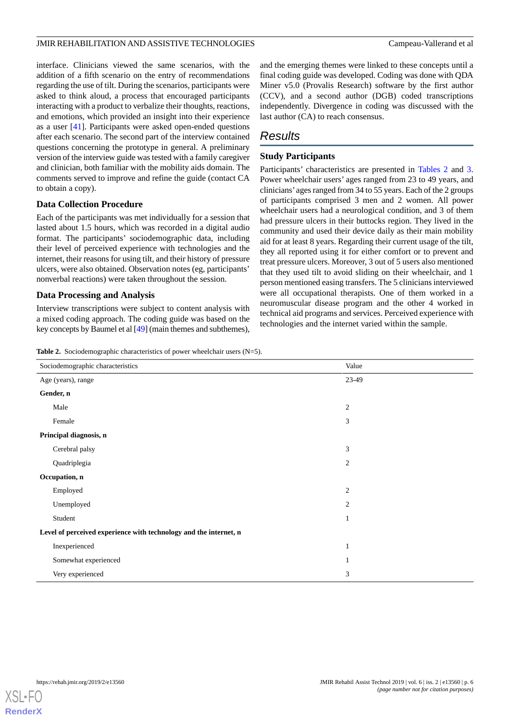interface. Clinicians viewed the same scenarios, with the addition of a fifth scenario on the entry of recommendations regarding the use of tilt. During the scenarios, participants were asked to think aloud, a process that encouraged participants interacting with a product to verbalize their thoughts, reactions, and emotions, which provided an insight into their experience as a user [\[41](#page-11-6)]. Participants were asked open-ended questions after each scenario. The second part of the interview contained questions concerning the prototype in general. A preliminary version of the interview guide was tested with a family caregiver and clinician, both familiar with the mobility aids domain. The comments served to improve and refine the guide (contact CA to obtain a copy).

### **Data Collection Procedure**

Each of the participants was met individually for a session that lasted about 1.5 hours, which was recorded in a digital audio format. The participants' sociodemographic data, including their level of perceived experience with technologies and the internet, their reasons for using tilt, and their history of pressure ulcers, were also obtained. Observation notes (eg, participants' nonverbal reactions) were taken throughout the session.

#### **Data Processing and Analysis**

<span id="page-5-0"></span>Interview transcriptions were subject to content analysis with a mixed coding approach. The coding guide was based on the key concepts by Baumel et al [\[49](#page-11-13)] (main themes and subthemes), and the emerging themes were linked to these concepts until a final coding guide was developed. Coding was done with QDA Miner v5.0 (Provalis Research) software by the first author (CCV), and a second author (DGB) coded transcriptions independently. Divergence in coding was discussed with the last author (CA) to reach consensus.

# *Results*

### **Study Participants**

Participants' characteristics are presented in [Tables 2](#page-5-0) and [3](#page-6-0). Power wheelchair users' ages ranged from 23 to 49 years, and clinicians' ages ranged from 34 to 55 years. Each of the 2 groups of participants comprised 3 men and 2 women. All power wheelchair users had a neurological condition, and 3 of them had pressure ulcers in their buttocks region. They lived in the community and used their device daily as their main mobility aid for at least 8 years. Regarding their current usage of the tilt, they all reported using it for either comfort or to prevent and treat pressure ulcers. Moreover, 3 out of 5 users also mentioned that they used tilt to avoid sliding on their wheelchair, and 1 person mentioned easing transfers. The 5 clinicians interviewed were all occupational therapists. One of them worked in a neuromuscular disease program and the other 4 worked in technical aid programs and services. Perceived experience with technologies and the internet varied within the sample.

**Table 2.** Sociodemographic characteristics of power wheelchair users (N=5).

| Sociodemographic characteristics                                  | Value          |  |  |
|-------------------------------------------------------------------|----------------|--|--|
| Age (years), range                                                | 23-49          |  |  |
| Gender, n                                                         |                |  |  |
| Male                                                              | $\mathfrak{2}$ |  |  |
| Female                                                            | 3              |  |  |
| Principal diagnosis, n                                            |                |  |  |
| Cerebral palsy                                                    | 3              |  |  |
| Quadriplegia                                                      | $\mathfrak{2}$ |  |  |
| Occupation, n                                                     |                |  |  |
| Employed                                                          | $\mathfrak{2}$ |  |  |
| Unemployed                                                        | $\overline{2}$ |  |  |
| Student                                                           | 1              |  |  |
| Level of perceived experience with technology and the internet, n |                |  |  |
| Inexperienced                                                     | 1              |  |  |
| Somewhat experienced                                              | 1              |  |  |
| Very experienced                                                  | $\mathfrak{Z}$ |  |  |

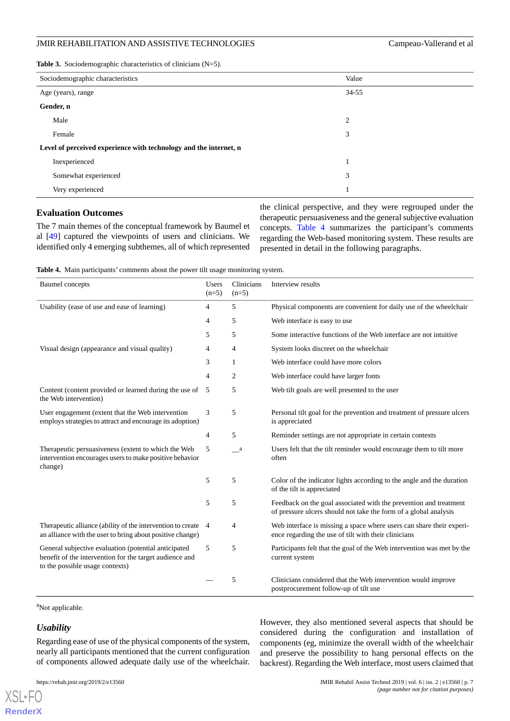<span id="page-6-0"></span>**Table 3.** Sociodemographic characteristics of clinicians (N=5).

| Sociodemographic characteristics                                  | Value          |  |  |
|-------------------------------------------------------------------|----------------|--|--|
| Age (years), range                                                | 34-55          |  |  |
| Gender, n                                                         |                |  |  |
| Male                                                              | $\overline{c}$ |  |  |
| Female                                                            | 3              |  |  |
| Level of perceived experience with technology and the internet, n |                |  |  |
| Inexperienced                                                     | 1              |  |  |
| Somewhat experienced                                              | 3              |  |  |
| Very experienced                                                  | 1              |  |  |

#### **Evaluation Outcomes**

<span id="page-6-1"></span>The 7 main themes of the conceptual framework by Baumel et al [\[49](#page-11-13)] captured the viewpoints of users and clinicians. We identified only 4 emerging subthemes, all of which represented

the clinical perspective, and they were regrouped under the therapeutic persuasiveness and the general subjective evaluation concepts. [Table 4](#page-6-1) summarizes the participant's comments regarding the Web-based monitoring system. These results are presented in detail in the following paragraphs.

**Table 4.** Main participants' comments about the power tilt usage monitoring system.

| <b>Baumel</b> concepts                                                                                                                             | <b>Users</b><br>$(n=5)$ | Clinicians<br>$(n=5)$ | Interview results                                                                                                                     |
|----------------------------------------------------------------------------------------------------------------------------------------------------|-------------------------|-----------------------|---------------------------------------------------------------------------------------------------------------------------------------|
| Usability (ease of use and ease of learning)                                                                                                       | 4                       | 5                     | Physical components are convenient for daily use of the wheelchair                                                                    |
|                                                                                                                                                    | 4                       | 5                     | Web interface is easy to use                                                                                                          |
|                                                                                                                                                    | 5                       | 5                     | Some interactive functions of the Web interface are not intuitive                                                                     |
| Visual design (appearance and visual quality)                                                                                                      | $\overline{4}$          | $\overline{4}$        | System looks discreet on the wheelchair                                                                                               |
|                                                                                                                                                    | 3                       | 1                     | Web interface could have more colors                                                                                                  |
|                                                                                                                                                    | $\overline{4}$          | 2                     | Web interface could have larger fonts                                                                                                 |
| Content (content provided or learned during the use of<br>the Web intervention)                                                                    | 5                       | 5                     | Web tilt goals are well presented to the user                                                                                         |
| User engagement (extent that the Web intervention<br>employs strategies to attract and encourage its adoption)                                     | 3                       | 5                     | Personal tilt goal for the prevention and treatment of pressure ulcers<br>is appreciated                                              |
|                                                                                                                                                    | 4                       | 5                     | Reminder settings are not appropriate in certain contexts                                                                             |
| Therapeutic persuasiveness (extent to which the Web<br>intervention encourages users to make positive behavior<br>change)                          | 5                       | $\sqrt{a}$            | Users felt that the tilt reminder would encourage them to tilt more<br>often                                                          |
|                                                                                                                                                    | 5                       | 5                     | Color of the indicator lights according to the angle and the duration<br>of the tilt is appreciated                                   |
|                                                                                                                                                    | 5                       | 5                     | Feedback on the goal associated with the prevention and treatment<br>of pressure ulcers should not take the form of a global analysis |
| Therapeutic alliance (ability of the intervention to create<br>an alliance with the user to bring about positive change)                           | 4                       | 4                     | Web interface is missing a space where users can share their experi-<br>ence regarding the use of tilt with their clinicians          |
| General subjective evaluation (potential anticipated<br>benefit of the intervention for the target audience and<br>to the possible usage contexts) | 5                       | 5                     | Participants felt that the goal of the Web intervention was met by the<br>current system                                              |
|                                                                                                                                                    |                         | 5                     | Clinicians considered that the Web intervention would improve<br>postprocurement follow-up of tilt use                                |

<sup>a</sup>Not applicable.

#### *Usability*

[XSL](http://www.w3.org/Style/XSL)•FO **[RenderX](http://www.renderx.com/)**

Regarding ease of use of the physical components of the system, nearly all participants mentioned that the current configuration of components allowed adequate daily use of the wheelchair.

However, they also mentioned several aspects that should be considered during the configuration and installation of components (eg, minimize the overall width of the wheelchair and preserve the possibility to hang personal effects on the backrest). Regarding the Web interface, most users claimed that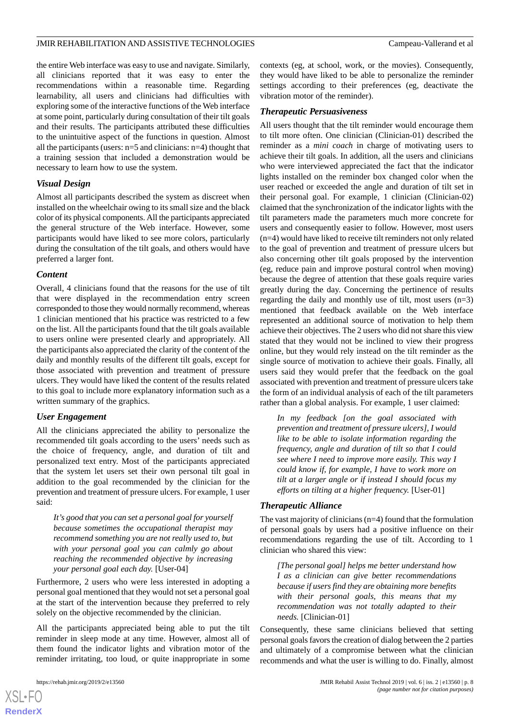the entire Web interface was easy to use and navigate. Similarly, all clinicians reported that it was easy to enter the recommendations within a reasonable time. Regarding learnability, all users and clinicians had difficulties with exploring some of the interactive functions of the Web interface at some point, particularly during consultation of their tilt goals and their results. The participants attributed these difficulties to the unintuitive aspect of the functions in question. Almost all the participants (users: n=5 and clinicians: n=4) thought that a training session that included a demonstration would be necessary to learn how to use the system.

#### *Visual Design*

Almost all participants described the system as discreet when installed on the wheelchair owing to its small size and the black color of its physical components. All the participants appreciated the general structure of the Web interface. However, some participants would have liked to see more colors, particularly during the consultation of the tilt goals, and others would have preferred a larger font.

#### *Content*

Overall, 4 clinicians found that the reasons for the use of tilt that were displayed in the recommendation entry screen corresponded to those they would normally recommend, whereas 1 clinician mentioned that his practice was restricted to a few on the list. All the participants found that the tilt goals available to users online were presented clearly and appropriately. All the participants also appreciated the clarity of the content of the daily and monthly results of the different tilt goals, except for those associated with prevention and treatment of pressure ulcers. They would have liked the content of the results related to this goal to include more explanatory information such as a written summary of the graphics.

#### *User Engagement*

All the clinicians appreciated the ability to personalize the recommended tilt goals according to the users' needs such as the choice of frequency, angle, and duration of tilt and personalized text entry. Most of the participants appreciated that the system let users set their own personal tilt goal in addition to the goal recommended by the clinician for the prevention and treatment of pressure ulcers. For example, 1 user said:

*It's good that you can set a personal goal for yourself because sometimes the occupational therapist may recommend something you are not really used to, but with your personal goal you can calmly go about reaching the recommended objective by increasing your personal goal each day.* [User-04]

Furthermore, 2 users who were less interested in adopting a personal goal mentioned that they would not set a personal goal at the start of the intervention because they preferred to rely solely on the objective recommended by the clinician.

All the participants appreciated being able to put the tilt reminder in sleep mode at any time. However, almost all of them found the indicator lights and vibration motor of the reminder irritating, too loud, or quite inappropriate in some

contexts (eg, at school, work, or the movies). Consequently, they would have liked to be able to personalize the reminder settings according to their preferences (eg, deactivate the vibration motor of the reminder).

#### *Therapeutic Persuasiveness*

All users thought that the tilt reminder would encourage them to tilt more often. One clinician (Clinician-01) described the reminder as a *mini coach* in charge of motivating users to achieve their tilt goals. In addition, all the users and clinicians who were interviewed appreciated the fact that the indicator lights installed on the reminder box changed color when the user reached or exceeded the angle and duration of tilt set in their personal goal. For example, 1 clinician (Clinician-02) claimed that the synchronization of the indicator lights with the tilt parameters made the parameters much more concrete for users and consequently easier to follow. However, most users (n=4) would have liked to receive tilt reminders not only related to the goal of prevention and treatment of pressure ulcers but also concerning other tilt goals proposed by the intervention (eg, reduce pain and improve postural control when moving) because the degree of attention that these goals require varies greatly during the day. Concerning the pertinence of results regarding the daily and monthly use of tilt, most users (n=3) mentioned that feedback available on the Web interface represented an additional source of motivation to help them achieve their objectives. The 2 users who did not share this view stated that they would not be inclined to view their progress online, but they would rely instead on the tilt reminder as the single source of motivation to achieve their goals. Finally, all users said they would prefer that the feedback on the goal associated with prevention and treatment of pressure ulcers take the form of an individual analysis of each of the tilt parameters rather than a global analysis. For example, 1 user claimed:

*In my feedback [on the goal associated with prevention and treatment of pressure ulcers], I would like to be able to isolate information regarding the frequency, angle and duration of tilt so that I could see where I need to improve more easily. This way I could know if, for example, I have to work more on tilt at a larger angle or if instead I should focus my efforts on tilting at a higher frequency.* [User-01]

#### *Therapeutic Alliance*

The vast majority of clinicians (n=4) found that the formulation of personal goals by users had a positive influence on their recommendations regarding the use of tilt. According to 1 clinician who shared this view:

*[The personal goal] helps me better understand how I as a clinician can give better recommendations because if users find they are obtaining more benefits with their personal goals, this means that my recommendation was not totally adapted to their needs.* [Clinician-01]

Consequently, these same clinicians believed that setting personal goals favors the creation of dialog between the 2 parties and ultimately of a compromise between what the clinician recommends and what the user is willing to do. Finally, almost

 $XS$  $\cdot$ FC **[RenderX](http://www.renderx.com/)**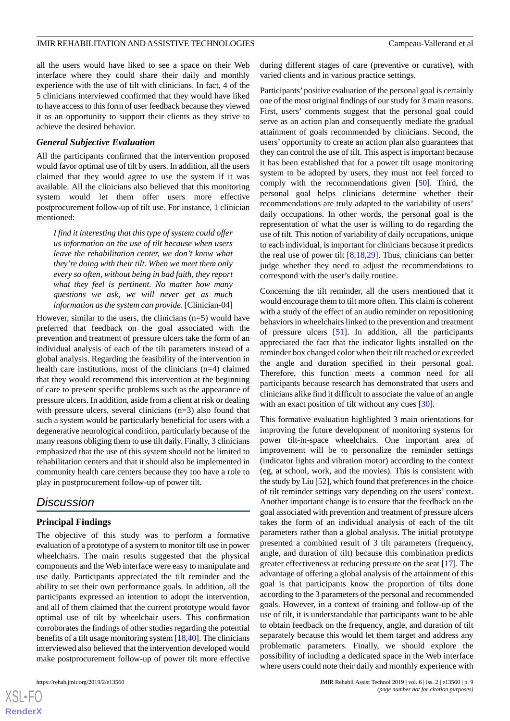all the users would have liked to see a space on their Web interface where they could share their daily and monthly experience with the use of tilt with clinicians. In fact, 4 of the 5 clinicians interviewed confirmed that they would have liked to have access to this form of user feedback because they viewed it as an opportunity to support their clients as they strive to achieve the desired behavior.

#### *General Subjective Evaluation*

All the participants confirmed that the intervention proposed would favor optimal use of tilt by users. In addition, all the users claimed that they would agree to use the system if it was available. All the clinicians also believed that this monitoring system would let them offer users more effective postprocurement follow-up of tilt use. For instance, 1 clinician mentioned:

*I find it interesting that this type of system could offer us information on the use of tilt because when users leave the rehabilitation center, we don't know what they're doing with their tilt. When we meet them only every so often, without being in bad faith, they report what they feel is pertinent. No matter how many questions we ask, we will never get as much information as the system can provide.* [Clinician-04]

However, similar to the users, the clinicians (n=5) would have preferred that feedback on the goal associated with the prevention and treatment of pressure ulcers take the form of an individual analysis of each of the tilt parameters instead of a global analysis. Regarding the feasibility of the intervention in health care institutions, most of the clinicians (n=4) claimed that they would recommend this intervention at the beginning of care to present specific problems such as the appearance of pressure ulcers. In addition, aside from a client at risk or dealing with pressure ulcers, several clinicians (n=3) also found that such a system would be particularly beneficial for users with a degenerative neurological condition, particularly because of the many reasons obliging them to use tilt daily. Finally, 3 clinicians emphasized that the use of this system should not be limited to rehabilitation centers and that it should also be implemented in community health care centers because they too have a role to play in postprocurement follow-up of power tilt.

## *Discussion*

#### **Principal Findings**

The objective of this study was to perform a formative evaluation of a prototype of a system to monitor tilt use in power wheelchairs. The main results suggested that the physical components and the Web interface were easy to manipulate and use daily. Participants appreciated the tilt reminder and the ability to set their own performance goals. In addition, all the participants expressed an intention to adopt the intervention, and all of them claimed that the current prototype would favor optimal use of tilt by wheelchair users. This confirmation corroborates the findings of other studies regarding the potential benefits of a tilt usage monitoring system [\[18](#page-10-12)[,40](#page-11-5)]. The clinicians interviewed also believed that the intervention developed would make postprocurement follow-up of power tilt more effective

 $XS$  $\cdot$ FC **[RenderX](http://www.renderx.com/)** during different stages of care (preventive or curative), with varied clients and in various practice settings.

Participants'positive evaluation of the personal goal is certainly one of the most original findings of our study for 3 main reasons. First, users' comments suggest that the personal goal could serve as an action plan and consequently mediate the gradual attainment of goals recommended by clinicians. Second, the users' opportunity to create an action plan also guarantees that they can control the use of tilt. This aspect is important because it has been established that for a power tilt usage monitoring system to be adopted by users, they must not feel forced to comply with the recommendations given [\[50](#page-11-14)]. Third, the personal goal helps clinicians determine whether their recommendations are truly adapted to the variability of users' daily occupations. In other words, the personal goal is the representation of what the user is willing to do regarding the use of tilt. This notion of variability of daily occupations, unique to each individual, is important for clinicians because it predicts the real use of power tilt [\[8](#page-10-2),[18](#page-10-12)[,29](#page-10-23)]. Thus, clinicians can better judge whether they need to adjust the recommendations to correspond with the user's daily routine.

Concerning the tilt reminder, all the users mentioned that it would encourage them to tilt more often. This claim is coherent with a study of the effect of an audio reminder on repositioning behaviors in wheelchairs linked to the prevention and treatment of pressure ulcers [[51\]](#page-11-15). In addition, all the participants appreciated the fact that the indicator lights installed on the reminder box changed color when their tilt reached or exceeded the angle and duration specified in their personal goal. Therefore, this function meets a common need for all participants because research has demonstrated that users and clinicians alike find it difficult to associate the value of an angle with an exact position of tilt without any cues [[30\]](#page-10-22).

This formative evaluation highlighted 3 main orientations for improving the future development of monitoring systems for power tilt-in-space wheelchairs. One important area of improvement will be to personalize the reminder settings (indicator lights and vibration motor) according to the context (eg, at school, work, and the movies). This is consistent with the study by Liu [\[52](#page-12-0)], which found that preferences in the choice of tilt reminder settings vary depending on the users' context. Another important change is to ensure that the feedback on the goal associated with prevention and treatment of pressure ulcers takes the form of an individual analysis of each of the tilt parameters rather than a global analysis. The initial prototype presented a combined result of 3 tilt parameters (frequency, angle, and duration of tilt) because this combination predicts greater effectiveness at reducing pressure on the seat [[17\]](#page-10-11). The advantage of offering a global analysis of the attainment of this goal is that participants know the proportion of tilts done according to the 3 parameters of the personal and recommended goals. However, in a context of training and follow-up of the use of tilt, it is understandable that participants want to be able to obtain feedback on the frequency, angle, and duration of tilt separately because this would let them target and address any problematic parameters. Finally, we should explore the possibility of including a dedicated space in the Web interface where users could note their daily and monthly experience with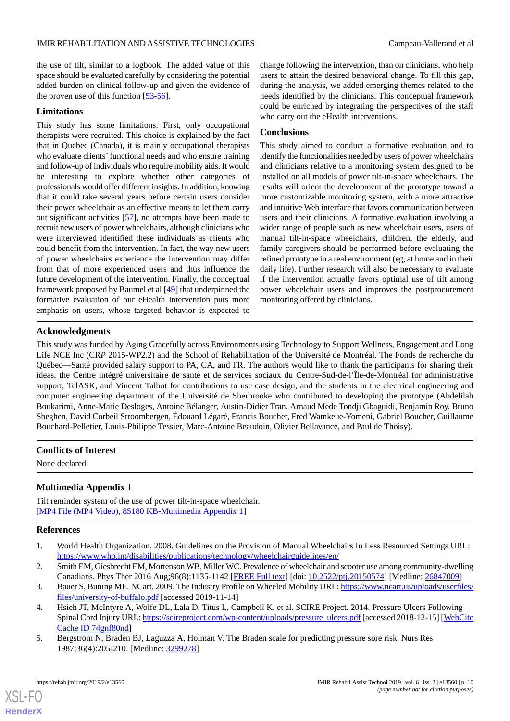the use of tilt, similar to a logbook. The added value of this space should be evaluated carefully by considering the potential added burden on clinical follow-up and given the evidence of the proven use of this function [[53](#page-12-1)[-56](#page-12-2)].

#### **Limitations**

This study has some limitations. First, only occupational therapists were recruited. This choice is explained by the fact that in Quebec (Canada), it is mainly occupational therapists who evaluate clients' functional needs and who ensure training and follow-up of individuals who require mobility aids. It would be interesting to explore whether other categories of professionals would offer different insights. In addition, knowing that it could take several years before certain users consider their power wheelchair as an effective means to let them carry out significant activities [\[57](#page-12-3)], no attempts have been made to recruit new users of power wheelchairs, although clinicians who were interviewed identified these individuals as clients who could benefit from the intervention. In fact, the way new users of power wheelchairs experience the intervention may differ from that of more experienced users and thus influence the future development of the intervention. Finally, the conceptual framework proposed by Baumel et al [[49\]](#page-11-13) that underpinned the formative evaluation of our eHealth intervention puts more emphasis on users, whose targeted behavior is expected to

change following the intervention, than on clinicians, who help users to attain the desired behavioral change. To fill this gap, during the analysis, we added emerging themes related to the needs identified by the clinicians. This conceptual framework could be enriched by integrating the perspectives of the staff who carry out the eHealth interventions.

#### **Conclusions**

This study aimed to conduct a formative evaluation and to identify the functionalities needed by users of power wheelchairs and clinicians relative to a monitoring system designed to be installed on all models of power tilt-in-space wheelchairs. The results will orient the development of the prototype toward a more customizable monitoring system, with a more attractive and intuitive Web interface that favors communication between users and their clinicians. A formative evaluation involving a wider range of people such as new wheelchair users, users of manual tilt-in-space wheelchairs, children, the elderly, and family caregivers should be performed before evaluating the refined prototype in a real environment (eg, at home and in their daily life). Further research will also be necessary to evaluate if the intervention actually favors optimal use of tilt among power wheelchair users and improves the postprocurement monitoring offered by clinicians.

#### **Acknowledgments**

This study was funded by Aging Gracefully across Environments using Technology to Support Wellness, Engagement and Long Life NCE Inc (CR*P* 2015-WP2.2) and the School of Rehabilitation of the Université de Montréal. The Fonds de recherche du Québec—Santé provided salary support to PA, CA, and FR. The authors would like to thank the participants for sharing their ideas, the Centre intégré universitaire de santé et de services sociaux du Centre-Sud-de-l'Île-de-Montréal for administrative support, TelASK, and Vincent Talbot for contributions to use case design, and the students in the electrical engineering and computer engineering department of the Université de Sherbrooke who contributed to developing the prototype (Abdelilah Boukarimi, Anne-Marie Desloges, Antoine Bélanger, Austin-Didier Tran, Arnaud Mede Tondji Gbaguidi, Benjamin Roy, Bruno Sbeghen, David Corbeil Stroombergen, Édouard Légaré, Francis Boucher, Fred Wamkeue-Yomeni, Gabriel Boucher, Guillaume Bouchard-Pelletier, Louis-Philippe Tessier, Marc-Antoine Beaudoin, Olivier Bellavance, and Paul de Thoisy).

#### <span id="page-9-5"></span>**Conflicts of Interest**

None declared.

### <span id="page-9-0"></span>**Multimedia Appendix 1**

<span id="page-9-1"></span>Tilt reminder system of the use of power tilt-in-space wheelchair. [[MP4 File \(MP4 Video\), 85180 KB-Multimedia Appendix 1](https://jmir.org/api/download?alt_name=rehab_v6i2e13560_app1.mp4&filename=a6c72cdbf79ddbc1309e62f369ea106f.mp4)]

#### <span id="page-9-2"></span>**References**

- <span id="page-9-3"></span>1. World Health Organization. 2008. Guidelines on the Provision of Manual Wheelchairs In Less Resourced Settings URL: <https://www.who.int/disabilities/publications/technology/wheelchairguidelines/en/>
- <span id="page-9-4"></span>2. Smith EM, Giesbrecht EM, Mortenson WB, Miller WC. Prevalence of wheelchair and scooter use among community-dwelling Canadians. Phys Ther 2016 Aug;96(8):1135-1142 [[FREE Full text\]](http://europepmc.org/abstract/MED/26847009) [doi: [10.2522/ptj.20150574](http://dx.doi.org/10.2522/ptj.20150574)] [Medline: [26847009](http://www.ncbi.nlm.nih.gov/entrez/query.fcgi?cmd=Retrieve&db=PubMed&list_uids=26847009&dopt=Abstract)]
- 3. Bauer S, Buning ME. NCart. 2009. The Industry Profile on Wheeled Mobility URL: [https://www.ncart.us/uploads/userfiles/](https://www.ncart.us/uploads/userfiles/files/university-of-buffalo.pdf) [files/university-of-buffalo.pdf](https://www.ncart.us/uploads/userfiles/files/university-of-buffalo.pdf) [accessed 2019-11-14]
- 4. Hsieh JT, McIntyre A, Wolfe DL, Lala D, Titus L, Campbell K, et al. SCIRE Project. 2014. Pressure Ulcers Following Spinal Cord Injury URL: [https://scireproject.com/wp-content/uploads/pressure\\_ulcers.pdf](https://scireproject.com/wp-content/uploads/pressure_ulcers.pdf) [accessed 2018-12-15] [\[WebCite](http://www.webcitation.org/

                                74gnf80nd) [Cache ID 74gnf80nd](http://www.webcitation.org/

                                74gnf80nd)]
- 5. Bergstrom N, Braden BJ, Laguzza A, Holman V. The Braden scale for predicting pressure sore risk. Nurs Res 1987;36(4):205-210. [Medline: [3299278](http://www.ncbi.nlm.nih.gov/entrez/query.fcgi?cmd=Retrieve&db=PubMed&list_uids=3299278&dopt=Abstract)]

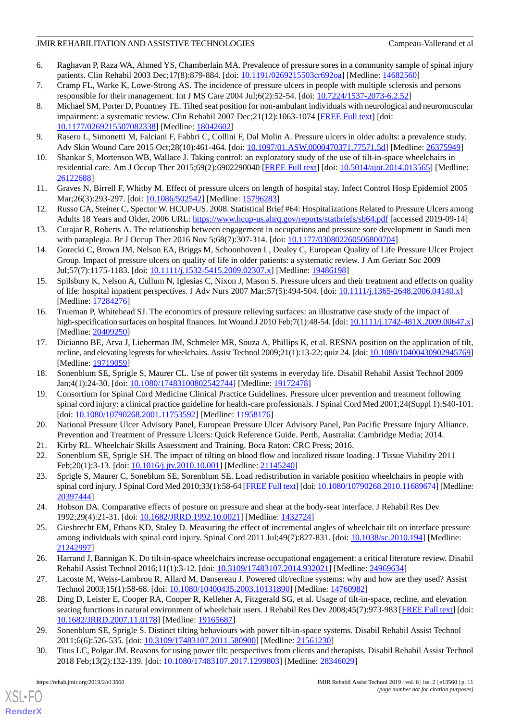- <span id="page-10-0"></span>6. Raghavan P, Raza WA, Ahmed YS, Chamberlain MA. Prevalence of pressure sores in a community sample of spinal injury patients. Clin Rehabil 2003 Dec;17(8):879-884. [doi: [10.1191/0269215503cr692oa](http://dx.doi.org/10.1191/0269215503cr692oa)] [Medline: [14682560\]](http://www.ncbi.nlm.nih.gov/entrez/query.fcgi?cmd=Retrieve&db=PubMed&list_uids=14682560&dopt=Abstract)
- <span id="page-10-2"></span><span id="page-10-1"></span>7. Cramp FL, Warke K, Lowe-Strong AS. The incidence of pressure ulcers in people with multiple sclerosis and persons responsible for their management. Int J MS Care 2004 Jul;6(2):52-54. [doi: [10.7224/1537-2073-6.2.52](http://dx.doi.org/10.7224/1537-2073-6.2.52)]
- 8. Michael SM, Porter D, Pountney TE. Tilted seat position for non-ambulant individuals with neurological and neuromuscular impairment: a systematic review. Clin Rehabil 2007 Dec;21(12):1063-1074 [[FREE Full text](http://europepmc.org/abstract/MED/18042602)] [doi: [10.1177/0269215507082338\]](http://dx.doi.org/10.1177/0269215507082338) [Medline: [18042602\]](http://www.ncbi.nlm.nih.gov/entrez/query.fcgi?cmd=Retrieve&db=PubMed&list_uids=18042602&dopt=Abstract)
- <span id="page-10-4"></span><span id="page-10-3"></span>9. Rasero L, Simonetti M, Falciani F, Fabbri C, Collini F, Dal Molin A. Pressure ulcers in older adults: a prevalence study. Adv Skin Wound Care 2015 Oct;28(10):461-464. [doi: [10.1097/01.ASW.0000470371.77571.5d](http://dx.doi.org/10.1097/01.ASW.0000470371.77571.5d)] [Medline: [26375949\]](http://www.ncbi.nlm.nih.gov/entrez/query.fcgi?cmd=Retrieve&db=PubMed&list_uids=26375949&dopt=Abstract)
- <span id="page-10-5"></span>10. Shankar S, Mortenson WB, Wallace J. Taking control: an exploratory study of the use of tilt-in-space wheelchairs in residential care. Am J Occup Ther 2015;69(2):6902290040 [\[FREE Full text\]](http://europepmc.org/abstract/MED/26122688) [doi: [10.5014/ajot.2014.013565](http://dx.doi.org/10.5014/ajot.2014.013565)] [Medline: [26122688](http://www.ncbi.nlm.nih.gov/entrez/query.fcgi?cmd=Retrieve&db=PubMed&list_uids=26122688&dopt=Abstract)]
- <span id="page-10-6"></span>11. Graves N, Birrell F, Whitby M. Effect of pressure ulcers on length of hospital stay. Infect Control Hosp Epidemiol 2005 Mar;26(3):293-297. [doi: [10.1086/502542](http://dx.doi.org/10.1086/502542)] [Medline: [15796283](http://www.ncbi.nlm.nih.gov/entrez/query.fcgi?cmd=Retrieve&db=PubMed&list_uids=15796283&dopt=Abstract)]
- <span id="page-10-7"></span>12. Russo CA, Steiner C, Spector W. HCUP-US. 2008. Statistical Brief #64: Hospitalizations Related to Pressure Ulcers among Adults 18 Years and Older, 2006 URL:<https://www.hcup-us.ahrq.gov/reports/statbriefs/sb64.pdf> [accessed 2019-09-14]
- <span id="page-10-8"></span>13. Cutajar R, Roberts A. The relationship between engagement in occupations and pressure sore development in Saudi men with paraplegia. Br J Occup Ther 2016 Nov 5;68(7):307-314. [doi: [10.1177/030802260506800704\]](http://dx.doi.org/10.1177/030802260506800704)
- <span id="page-10-9"></span>14. Gorecki C, Brown JM, Nelson EA, Briggs M, Schoonhoven L, Dealey C, European Quality of Life Pressure Ulcer Project Group. Impact of pressure ulcers on quality of life in older patients: a systematic review. J Am Geriatr Soc 2009 Jul;57(7):1175-1183. [doi: [10.1111/j.1532-5415.2009.02307.x](http://dx.doi.org/10.1111/j.1532-5415.2009.02307.x)] [Medline: [19486198](http://www.ncbi.nlm.nih.gov/entrez/query.fcgi?cmd=Retrieve&db=PubMed&list_uids=19486198&dopt=Abstract)]
- <span id="page-10-10"></span>15. Spilsbury K, Nelson A, Cullum N, Iglesias C, Nixon J, Mason S. Pressure ulcers and their treatment and effects on quality of life: hospital inpatient perspectives. J Adv Nurs 2007 Mar;57(5):494-504. [doi: [10.1111/j.1365-2648.2006.04140.x](http://dx.doi.org/10.1111/j.1365-2648.2006.04140.x)] [Medline: [17284276](http://www.ncbi.nlm.nih.gov/entrez/query.fcgi?cmd=Retrieve&db=PubMed&list_uids=17284276&dopt=Abstract)]
- <span id="page-10-11"></span>16. Trueman P, Whitehead SJ. The economics of pressure relieving surfaces: an illustrative case study of the impact of high-specification surfaces on hospital finances. Int Wound J 2010 Feb;7(1):48-54. [doi: [10.1111/j.1742-481X.2009.00647.x\]](http://dx.doi.org/10.1111/j.1742-481X.2009.00647.x) [Medline: [20409250](http://www.ncbi.nlm.nih.gov/entrez/query.fcgi?cmd=Retrieve&db=PubMed&list_uids=20409250&dopt=Abstract)]
- <span id="page-10-13"></span><span id="page-10-12"></span>17. Dicianno BE, Arva J, Lieberman JM, Schmeler MR, Souza A, Phillips K, et al. RESNA position on the application of tilt, recline, and elevating legrests for wheelchairs. Assist Technol 2009;21(1):13-22; quiz 24. [doi: [10.1080/10400430902945769\]](http://dx.doi.org/10.1080/10400430902945769) [Medline: [19719059](http://www.ncbi.nlm.nih.gov/entrez/query.fcgi?cmd=Retrieve&db=PubMed&list_uids=19719059&dopt=Abstract)]
- <span id="page-10-14"></span>18. Sonenblum SE, Sprigle S, Maurer CL. Use of power tilt systems in everyday life. Disabil Rehabil Assist Technol 2009 Jan;4(1):24-30. [doi: [10.1080/17483100802542744](http://dx.doi.org/10.1080/17483100802542744)] [Medline: [19172478\]](http://www.ncbi.nlm.nih.gov/entrez/query.fcgi?cmd=Retrieve&db=PubMed&list_uids=19172478&dopt=Abstract)
- <span id="page-10-15"></span>19. Consortium for Spinal Cord Medicine Clinical Practice Guidelines. Pressure ulcer prevention and treatment following spinal cord injury: a clinical practice guideline for health-care professionals. J Spinal Cord Med 2001;24(Suppl 1):S40-101. [doi: [10.1080/10790268.2001.11753592](http://dx.doi.org/10.1080/10790268.2001.11753592)] [Medline: [11958176\]](http://www.ncbi.nlm.nih.gov/entrez/query.fcgi?cmd=Retrieve&db=PubMed&list_uids=11958176&dopt=Abstract)
- <span id="page-10-16"></span>20. National Pressure Ulcer Advisory Panel, European Pressure Ulcer Advisory Panel, Pan Pacific Pressure Injury Alliance. Prevention and Treatment of Pressure Ulcers: Quick Reference Guide. Perth, Australia: Cambridge Media; 2014.
- 21. Kirby RL. Wheelchair Skills Assessment and Training. Boca Raton: CRC Press; 2016.
- <span id="page-10-17"></span>22. Sonenblum SE, Sprigle SH. The impact of tilting on blood flow and localized tissue loading. J Tissue Viability 2011 Feb;20(1):3-13. [doi: [10.1016/j.jtv.2010.10.001](http://dx.doi.org/10.1016/j.jtv.2010.10.001)] [Medline: [21145240](http://www.ncbi.nlm.nih.gov/entrez/query.fcgi?cmd=Retrieve&db=PubMed&list_uids=21145240&dopt=Abstract)]
- <span id="page-10-18"></span>23. Sprigle S, Maurer C, Soneblum SE, Sorenblum SE. Load redistribution in variable position wheelchairs in people with spinal cord injury. J Spinal Cord Med 2010;33(1):58-64 [\[FREE Full text](http://europepmc.org/abstract/MED/20397444)] [doi: [10.1080/10790268.2010.11689674\]](http://dx.doi.org/10.1080/10790268.2010.11689674) [Medline: [20397444](http://www.ncbi.nlm.nih.gov/entrez/query.fcgi?cmd=Retrieve&db=PubMed&list_uids=20397444&dopt=Abstract)]
- <span id="page-10-19"></span>24. Hobson DA. Comparative effects of posture on pressure and shear at the body-seat interface. J Rehabil Res Dev 1992;29(4):21-31. [doi: [10.1682/JRRD.1992.10.0021\]](http://dx.doi.org/10.1682/JRRD.1992.10.0021) [Medline: [1432724\]](http://www.ncbi.nlm.nih.gov/entrez/query.fcgi?cmd=Retrieve&db=PubMed&list_uids=1432724&dopt=Abstract)
- <span id="page-10-21"></span><span id="page-10-20"></span>25. Giesbrecht EM, Ethans KD, Staley D. Measuring the effect of incremental angles of wheelchair tilt on interface pressure among individuals with spinal cord injury. Spinal Cord 2011 Jul;49(7):827-831. [doi: [10.1038/sc.2010.194](http://dx.doi.org/10.1038/sc.2010.194)] [Medline: [21242997](http://www.ncbi.nlm.nih.gov/entrez/query.fcgi?cmd=Retrieve&db=PubMed&list_uids=21242997&dopt=Abstract)]
- <span id="page-10-23"></span>26. Harrand J, Bannigan K. Do tilt-in-space wheelchairs increase occupational engagement: a critical literature review. Disabil Rehabil Assist Technol 2016;11(1):3-12. [doi: [10.3109/17483107.2014.932021\]](http://dx.doi.org/10.3109/17483107.2014.932021) [Medline: [24969634\]](http://www.ncbi.nlm.nih.gov/entrez/query.fcgi?cmd=Retrieve&db=PubMed&list_uids=24969634&dopt=Abstract)
- <span id="page-10-22"></span>27. Lacoste M, Weiss-Lambrou R, Allard M, Dansereau J. Powered tilt/recline systems: why and how are they used? Assist Technol 2003;15(1):58-68. [doi: [10.1080/10400435.2003.10131890](http://dx.doi.org/10.1080/10400435.2003.10131890)] [Medline: [14760982](http://www.ncbi.nlm.nih.gov/entrez/query.fcgi?cmd=Retrieve&db=PubMed&list_uids=14760982&dopt=Abstract)]
- 28. Ding D, Leister E, Cooper RA, Cooper R, Kelleher A, Fitzgerald SG, et al. Usage of tilt-in-space, recline, and elevation seating functions in natural environment of wheelchair users. J Rehabil Res Dev 2008;45(7):973-983 [\[FREE Full text](https://www.rehab.research.va.gov/jour/08/45/7/pdf/Ding.pdf)] [doi: [10.1682/JRRD.2007.11.0178\]](http://dx.doi.org/10.1682/JRRD.2007.11.0178) [Medline: [19165687\]](http://www.ncbi.nlm.nih.gov/entrez/query.fcgi?cmd=Retrieve&db=PubMed&list_uids=19165687&dopt=Abstract)
- 29. Sonenblum SE, Sprigle S. Distinct tilting behaviours with power tilt-in-space systems. Disabil Rehabil Assist Technol 2011;6(6):526-535. [doi: [10.3109/17483107.2011.580900\]](http://dx.doi.org/10.3109/17483107.2011.580900) [Medline: [21561230](http://www.ncbi.nlm.nih.gov/entrez/query.fcgi?cmd=Retrieve&db=PubMed&list_uids=21561230&dopt=Abstract)]
- 30. Titus LC, Polgar JM. Reasons for using power tilt: perspectives from clients and therapists. Disabil Rehabil Assist Technol 2018 Feb;13(2):132-139. [doi: [10.1080/17483107.2017.1299803](http://dx.doi.org/10.1080/17483107.2017.1299803)] [Medline: [28346029](http://www.ncbi.nlm.nih.gov/entrez/query.fcgi?cmd=Retrieve&db=PubMed&list_uids=28346029&dopt=Abstract)]

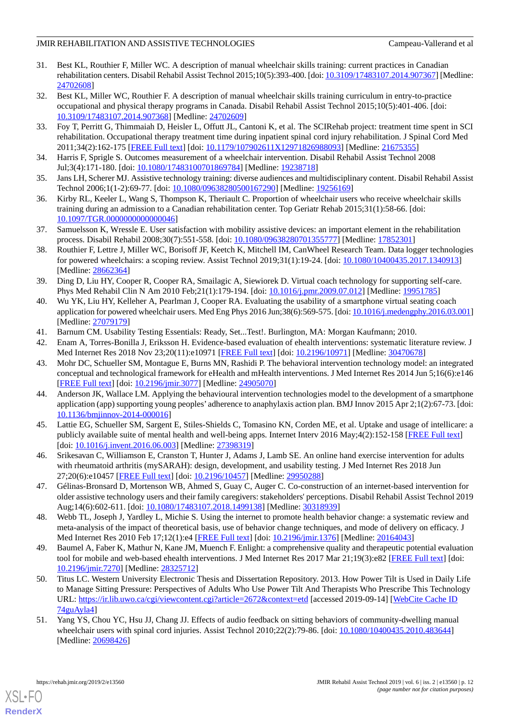- <span id="page-11-0"></span>31. Best KL, Routhier F, Miller WC. A description of manual wheelchair skills training: current practices in Canadian rehabilitation centers. Disabil Rehabil Assist Technol 2015;10(5):393-400. [doi: [10.3109/17483107.2014.907367\]](http://dx.doi.org/10.3109/17483107.2014.907367) [Medline: [24702608](http://www.ncbi.nlm.nih.gov/entrez/query.fcgi?cmd=Retrieve&db=PubMed&list_uids=24702608&dopt=Abstract)]
- 32. Best KL, Miller WC, Routhier F. A description of manual wheelchair skills training curriculum in entry-to-practice occupational and physical therapy programs in Canada. Disabil Rehabil Assist Technol 2015;10(5):401-406. [doi: [10.3109/17483107.2014.907368\]](http://dx.doi.org/10.3109/17483107.2014.907368) [Medline: [24702609\]](http://www.ncbi.nlm.nih.gov/entrez/query.fcgi?cmd=Retrieve&db=PubMed&list_uids=24702609&dopt=Abstract)
- 33. Foy T, Perritt G, Thimmaiah D, Heisler L, Offutt JL, Cantoni K, et al. The SCIRehab project: treatment time spent in SCI rehabilitation. Occupational therapy treatment time during inpatient spinal cord injury rehabilitation. J Spinal Cord Med 2011;34(2):162-175 [[FREE Full text](http://europepmc.org/abstract/MED/21675355)] [doi: [10.1179/107902611X12971826988093](http://dx.doi.org/10.1179/107902611X12971826988093)] [Medline: [21675355\]](http://www.ncbi.nlm.nih.gov/entrez/query.fcgi?cmd=Retrieve&db=PubMed&list_uids=21675355&dopt=Abstract)
- 34. Harris F, Sprigle S. Outcomes measurement of a wheelchair intervention. Disabil Rehabil Assist Technol 2008 Jul;3(4):171-180. [doi: [10.1080/17483100701869784](http://dx.doi.org/10.1080/17483100701869784)] [Medline: [19238718](http://www.ncbi.nlm.nih.gov/entrez/query.fcgi?cmd=Retrieve&db=PubMed&list_uids=19238718&dopt=Abstract)]
- <span id="page-11-1"></span>35. Jans LH, Scherer MJ. Assistive technology training: diverse audiences and multidisciplinary content. Disabil Rehabil Assist Technol 2006;1(1-2):69-77. [doi: [10.1080/09638280500167290\]](http://dx.doi.org/10.1080/09638280500167290) [Medline: [19256169](http://www.ncbi.nlm.nih.gov/entrez/query.fcgi?cmd=Retrieve&db=PubMed&list_uids=19256169&dopt=Abstract)]
- <span id="page-11-2"></span>36. Kirby RL, Keeler L, Wang S, Thompson K, Theriault C. Proportion of wheelchair users who receive wheelchair skills training during an admission to a Canadian rehabilitation center. Top Geriatr Rehab 2015;31(1):58-66. [doi: [10.1097/TGR.0000000000000046](http://dx.doi.org/10.1097/TGR.0000000000000046)]
- <span id="page-11-3"></span>37. Samuelsson K, Wressle E. User satisfaction with mobility assistive devices: an important element in the rehabilitation process. Disabil Rehabil 2008;30(7):551-558. [doi: [10.1080/09638280701355777\]](http://dx.doi.org/10.1080/09638280701355777) [Medline: [17852301\]](http://www.ncbi.nlm.nih.gov/entrez/query.fcgi?cmd=Retrieve&db=PubMed&list_uids=17852301&dopt=Abstract)
- <span id="page-11-4"></span>38. Routhier F, Lettre J, Miller WC, Borisoff JF, Keetch K, Mitchell IM, CanWheel Research Team. Data logger technologies for powered wheelchairs: a scoping review. Assist Technol 2019;31(1):19-24. [doi: [10.1080/10400435.2017.1340913\]](http://dx.doi.org/10.1080/10400435.2017.1340913) [Medline: [28662364](http://www.ncbi.nlm.nih.gov/entrez/query.fcgi?cmd=Retrieve&db=PubMed&list_uids=28662364&dopt=Abstract)]
- <span id="page-11-5"></span>39. Ding D, Liu HY, Cooper R, Cooper RA, Smailagic A, Siewiorek D. Virtual coach technology for supporting self-care. Phys Med Rehabil Clin N Am 2010 Feb; 21(1): 179-194. [doi: 10.1016/j.pmr. 2009.07.012] [Medline: [19951785\]](http://www.ncbi.nlm.nih.gov/entrez/query.fcgi?cmd=Retrieve&db=PubMed&list_uids=19951785&dopt=Abstract)
- <span id="page-11-7"></span><span id="page-11-6"></span>40. Wu YK, Liu HY, Kelleher A, Pearlman J, Cooper RA. Evaluating the usability of a smartphone virtual seating coach application for powered wheelchair users. Med Eng Phys 2016 Jun;38(6):569-575. [doi: [10.1016/j.medengphy.2016.03.001\]](http://dx.doi.org/10.1016/j.medengphy.2016.03.001) [Medline: [27079179](http://www.ncbi.nlm.nih.gov/entrez/query.fcgi?cmd=Retrieve&db=PubMed&list_uids=27079179&dopt=Abstract)]
- <span id="page-11-8"></span>41. Barnum CM. Usability Testing Essentials: Ready, Set...Test!. Burlington, MA: Morgan Kaufmann; 2010.
- 42. Enam A, Torres-Bonilla J, Eriksson H. Evidence-based evaluation of ehealth interventions: systematic literature review. J Med Internet Res 2018 Nov 23;20(11):e10971 [\[FREE Full text](https://www.jmir.org/2018/11/e10971/)] [doi: [10.2196/10971\]](http://dx.doi.org/10.2196/10971) [Medline: [30470678\]](http://www.ncbi.nlm.nih.gov/entrez/query.fcgi?cmd=Retrieve&db=PubMed&list_uids=30470678&dopt=Abstract)
- <span id="page-11-9"></span>43. Mohr DC, Schueller SM, Montague E, Burns MN, Rashidi P. The behavioral intervention technology model: an integrated conceptual and technological framework for eHealth and mHealth interventions. J Med Internet Res 2014 Jun 5;16(6):e146 [[FREE Full text](https://www.jmir.org/2014/6/e146/)] [doi: [10.2196/jmir.3077](http://dx.doi.org/10.2196/jmir.3077)] [Medline: [24905070](http://www.ncbi.nlm.nih.gov/entrez/query.fcgi?cmd=Retrieve&db=PubMed&list_uids=24905070&dopt=Abstract)]
- 44. Anderson JK, Wallace LM. Applying the behavioural intervention technologies model to the development of a smartphone application (app) supporting young peoples' adherence to anaphylaxis action plan. BMJ Innov 2015 Apr 2;1(2):67-73. [doi: [10.1136/bmjinnov-2014-000016\]](http://dx.doi.org/10.1136/bmjinnov-2014-000016)
- <span id="page-11-11"></span><span id="page-11-10"></span>45. Lattie EG, Schueller SM, Sargent E, Stiles-Shields C, Tomasino KN, Corden ME, et al. Uptake and usage of intellicare: a publicly available suite of mental health and well-being apps. Internet Interv 2016 May;4(2):152-158 [[FREE Full text\]](https://linkinghub.elsevier.com/retrieve/pii/S2214-7829(15)30029-4) [doi: [10.1016/j.invent.2016.06.003](http://dx.doi.org/10.1016/j.invent.2016.06.003)] [Medline: [27398319](http://www.ncbi.nlm.nih.gov/entrez/query.fcgi?cmd=Retrieve&db=PubMed&list_uids=27398319&dopt=Abstract)]
- <span id="page-11-12"></span>46. Srikesavan C, Williamson E, Cranston T, Hunter J, Adams J, Lamb SE. An online hand exercise intervention for adults with rheumatoid arthritis (mySARAH): design, development, and usability testing. J Med Internet Res 2018 Jun 27;20(6):e10457 [\[FREE Full text](https://www.jmir.org/2018/6/e10457/)] [doi: [10.2196/10457\]](http://dx.doi.org/10.2196/10457) [Medline: [29950288\]](http://www.ncbi.nlm.nih.gov/entrez/query.fcgi?cmd=Retrieve&db=PubMed&list_uids=29950288&dopt=Abstract)
- <span id="page-11-13"></span>47. Gélinas-Bronsard D, Mortenson WB, Ahmed S, Guay C, Auger C. Co-construction of an internet-based intervention for older assistive technology users and their family caregivers: stakeholders' perceptions. Disabil Rehabil Assist Technol 2019 Aug;14(6):602-611. [doi: [10.1080/17483107.2018.1499138\]](http://dx.doi.org/10.1080/17483107.2018.1499138) [Medline: [30318939\]](http://www.ncbi.nlm.nih.gov/entrez/query.fcgi?cmd=Retrieve&db=PubMed&list_uids=30318939&dopt=Abstract)
- <span id="page-11-14"></span>48. Webb TL, Joseph J, Yardley L, Michie S. Using the internet to promote health behavior change: a systematic review and meta-analysis of the impact of theoretical basis, use of behavior change techniques, and mode of delivery on efficacy. J Med Internet Res 2010 Feb 17;12(1):e4 [[FREE Full text](https://www.jmir.org/2010/1/e4/)] [doi: [10.2196/jmir.1376](http://dx.doi.org/10.2196/jmir.1376)] [Medline: [20164043](http://www.ncbi.nlm.nih.gov/entrez/query.fcgi?cmd=Retrieve&db=PubMed&list_uids=20164043&dopt=Abstract)]
- <span id="page-11-15"></span>49. Baumel A, Faber K, Mathur N, Kane JM, Muench F. Enlight: a comprehensive quality and therapeutic potential evaluation tool for mobile and web-based ehealth interventions. J Med Internet Res 2017 Mar 21;19(3):e82 [\[FREE Full text\]](https://www.jmir.org/2017/3/e82/) [doi: [10.2196/jmir.7270](http://dx.doi.org/10.2196/jmir.7270)] [Medline: [28325712](http://www.ncbi.nlm.nih.gov/entrez/query.fcgi?cmd=Retrieve&db=PubMed&list_uids=28325712&dopt=Abstract)]
- 50. Titus LC. Western University Electronic Thesis and Dissertation Repository. 2013. How Power Tilt is Used in Daily Life to Manage Sitting Pressure: Perspectives of Adults Who Use Power Tilt And Therapists Who Prescribe This Technology URL: <https://ir.lib.uwo.ca/cgi/viewcontent.cgi?article=2672&context=etd> [accessed 2019-09-14] [\[WebCite Cache ID](http://www.webcitation.org/

                                74guAyla4) [74guAyla4](http://www.webcitation.org/

                                74guAyla4)]
- 51. Yang YS, Chou YC, Hsu JJ, Chang JJ. Effects of audio feedback on sitting behaviors of community-dwelling manual wheelchair users with spinal cord injuries. Assist Technol 2010;22(2):79-86. [doi: [10.1080/10400435.2010.483644\]](http://dx.doi.org/10.1080/10400435.2010.483644) [Medline: [20698426](http://www.ncbi.nlm.nih.gov/entrez/query.fcgi?cmd=Retrieve&db=PubMed&list_uids=20698426&dopt=Abstract)]



[XSL](http://www.w3.org/Style/XSL)•FO **[RenderX](http://www.renderx.com/)**